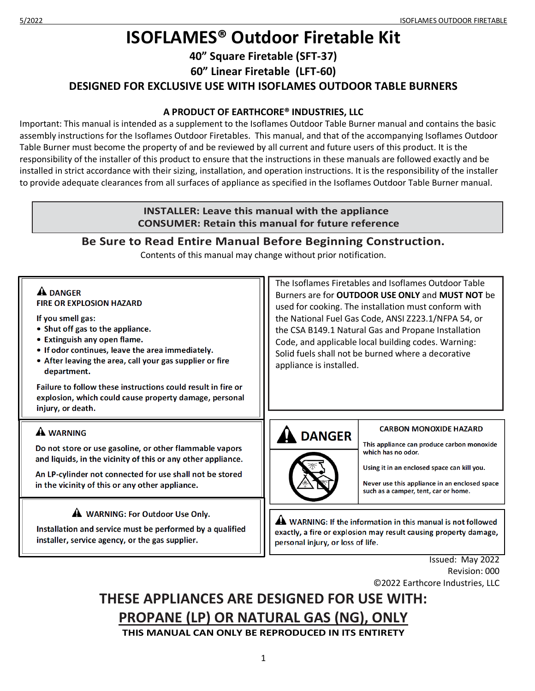# **ISOFLAMES® Outdoor Firetable Kit**

**40" Square Firetable (SFT-37)**

**60" Linear Firetable (LFT-60)**

**DESIGNED FOR EXCLUSIVE USE WITH ISOFLAMES OUTDOOR TABLE BURNERS**

### **A PRODUCT OF EARTHCORE® INDUSTRIES, LLC**

Important: This manual is intended as a supplement to the Isoflames Outdoor Table Burner manual and contains the basic assembly instructions for the Isoflames Outdoor Firetables. This manual, and that of the accompanying Isoflames Outdoor Table Burner must become the property of and be reviewed by all current and future users of this product. It is the responsibility of the installer of this product to ensure that the instructions in these manuals are followed exactly and be installed in strict accordance with their sizing, installation, and operation instructions. It is the responsibility of the installer to provide adequate clearances from all surfaces of appliance as specified in the Isoflames Outdoor Table Burner manual.

#### **INSTALLER: Leave this manual with the appliance CONSUMER: Retain this manual for future reference Be Sure to Read Entire Manual Before Beginning Construction.** Contents of this manual may change without prior notification. The Isoflames Firetables and Isoflames Outdoor Table **A DANGER** Burners are for **OUTDOOR USE ONLY** and **MUST NOT** be **FIRE OR EXPLOSION HAZARD** used for cooking. The installation must conform with If you smell gas: the National Fuel Gas Code, ANSI Z223.1/NFPA 54, or • Shut off gas to the appliance. the CSA B149.1 Natural Gas and Propane Installation • Extinguish any open flame. Code, and applicable local building codes. Warning: • If odor continues, leave the area immediately. Solid fuels shall not be burned where a decorative • After leaving the area, call your gas supplier or fire appliance is installed.department. Failure to follow these instructions could result in fire or explosion, which could cause property damage, personal injury, or death.

Do not store or use gasoline, or other flammable vapors and liquids, in the vicinity of this or any other appliance.

**A WARNING** 

An LP-cylinder not connected for use shall not be stored in the vicinity of this or any other appliance.

A WARNING: For Outdoor Use Only.

Installation and service must be performed by a qualified installer, service agency, or the gas supplier.

A DANGER

#### **CARBON MONOXIDE HAZARD**

This appliance can produce carbon monoxide which has no odor.

Using it in an enclosed space can kill you.

Never use this appliance in an enclosed space such as a camper, tent, car or home.

A WARNING: If the information in this manual is not followed exactly, a fire or explosion may result causing property damage, personal injury, or loss of life.

> Issued: May 2022 Revision: 000 ©2022 Earthcore Industries, LLC

# **THESE APPLIANCES ARE DESIGNED FOR USE WITH: PROPANE (LP) OR NATURAL GAS (NG), ONLY THIS MANUAL CAN ONLY BE REPRODUCED IN ITS ENTIRETY**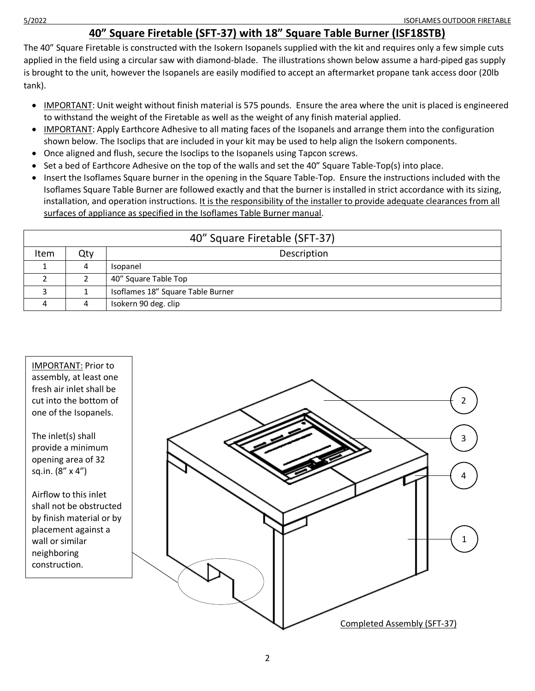### **40" Square Firetable (SFT-37) with 18" Square Table Burner (ISF18STB)**

The 40" Square Firetable is constructed with the Isokern Isopanels supplied with the kit and requires only a few simple cuts applied in the field using a circular saw with diamond-blade. The illustrations shown below assume a hard-piped gas supply is brought to the unit, however the Isopanels are easily modified to accept an aftermarket propane tank access door (20lb tank).

- IMPORTANT: Unit weight without finish material is 575 pounds. Ensure the area where the unit is placed is engineered to withstand the weight of the Firetable as well as the weight of any finish material applied.
- IMPORTANT: Apply Earthcore Adhesive to all mating faces of the Isopanels and arrange them into the configuration shown below. The Isoclips that are included in your kit may be used to help align the Isokern components.
- Once aligned and flush, secure the Isoclips to the Isopanels using Tapcon screws.
- Set a bed of Earthcore Adhesive on the top of the walls and set the 40" Square Table-Top(s) into place.
- Insert the Isoflames Square burner in the opening in the Square Table-Top. Ensure the instructions included with the Isoflames Square Table Burner are followed exactly and that the burner is installed in strict accordance with its sizing, installation, and operation instructions. It is the responsibility of the installer to provide adequate clearances from all surfaces of appliance as specified in the Isoflames Table Burner manual.

| 40" Square Firetable (SFT-37) |     |                                   |  |  |
|-------------------------------|-----|-----------------------------------|--|--|
| Item                          | Qty | Description                       |  |  |
|                               | 4   | Isopanel                          |  |  |
|                               |     | 40" Square Table Top              |  |  |
|                               |     | Isoflames 18" Square Table Burner |  |  |
|                               | 4   | Isokern 90 deg. clip              |  |  |

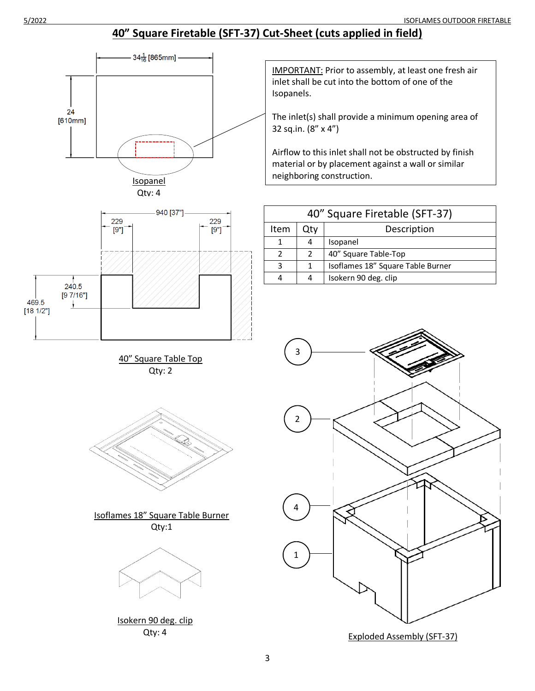# **40" Square Firetable (SFT-37) Cut-Sheet (cuts applied in field)**





40" Square Table Top Qty: 2



Isoflames 18" Square Table Burner Qty:1



Isokern 90 deg. clip Qty: 4

IMPORTANT: Prior to assembly, at least one fresh air inlet shall be cut into the bottom of one of the Isopanels.

The inlet(s) shall provide a minimum opening area of 32 sq.in. (8" x 4")

Airflow to this inlet shall not be obstructed by finish material or by placement against a wall or similar neighboring construction.

| 40" Square Firetable (SFT-37) |     |                                   |  |  |
|-------------------------------|-----|-----------------------------------|--|--|
| Item                          | Qtv | Description                       |  |  |
|                               |     | Isopanel                          |  |  |
| $\mathcal{P}$                 |     | 40" Square Table-Top              |  |  |
| З                             |     | Isoflames 18" Square Table Burner |  |  |
|                               |     | Isokern 90 deg. clip              |  |  |



Exploded Assembly (SFT-37)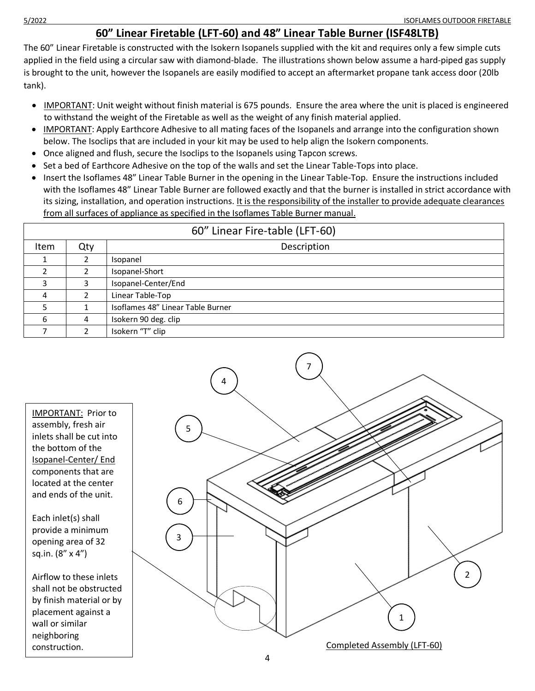## **60" Linear Firetable (LFT-60) and 48" Linear Table Burner (ISF48LTB)**

The 60" Linear Firetable is constructed with the Isokern Isopanels supplied with the kit and requires only a few simple cuts applied in the field using a circular saw with diamond-blade. The illustrations shown below assume a hard-piped gas supply is brought to the unit, however the Isopanels are easily modified to accept an aftermarket propane tank access door (20lb tank).

- IMPORTANT: Unit weight without finish material is 675 pounds. Ensure the area where the unit is placed is engineered to withstand the weight of the Firetable as well as the weight of any finish material applied.
- IMPORTANT: Apply Earthcore Adhesive to all mating faces of the Isopanels and arrange into the configuration shown below. The Isoclips that are included in your kit may be used to help align the Isokern components.
- Once aligned and flush, secure the Isoclips to the Isopanels using Tapcon screws.
- Set a bed of Earthcore Adhesive on the top of the walls and set the Linear Table-Tops into place.
- Insert the Isoflames 48" Linear Table Burner in the opening in the Linear Table-Top. Ensure the instructions included with the Isoflames 48" Linear Table Burner are followed exactly and that the burner is installed in strict accordance with its sizing, installation, and operation instructions. It is the responsibility of the installer to provide adequate clearances from all surfaces of appliance as specified in the Isoflames Table Burner manual.

| 60" Linear Fire-table (LFT-60) |     |                                   |  |  |
|--------------------------------|-----|-----------------------------------|--|--|
| Item                           | Qty | Description                       |  |  |
|                                |     | Isopanel                          |  |  |
|                                |     | Isopanel-Short                    |  |  |
|                                |     | Isopanel-Center/End               |  |  |
| $\Lambda$                      |     | Linear Table-Top                  |  |  |
|                                |     | Isoflames 48" Linear Table Burner |  |  |
| 6                              | 4   | Isokern 90 deg. clip              |  |  |
|                                |     | Isokern "T" clip                  |  |  |

IMPORTANT: Prior to assembly, fresh air inlets shall be cut into the bottom of the Isopanel-Center/ End components that are located at the center and ends of the unit.

Each inlet(s) shall provide a minimum opening area of 32 sq.in. (8" x 4")

Airflow to these inlets shall not be obstructed by finish material or by placement against a wall or similar neighboring construction.

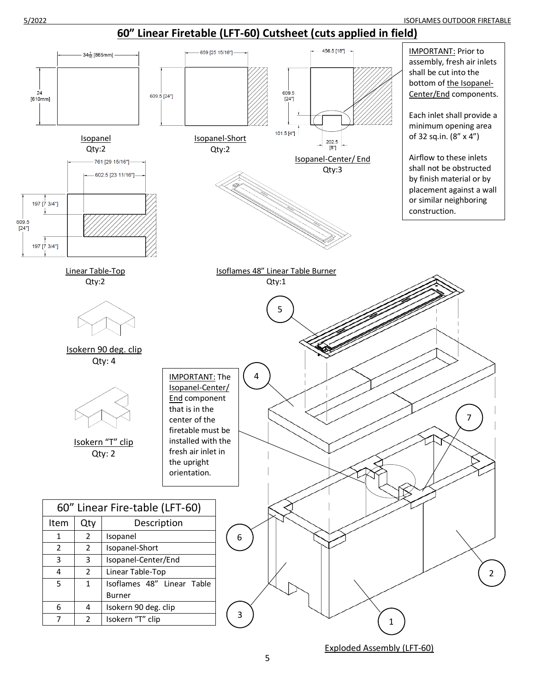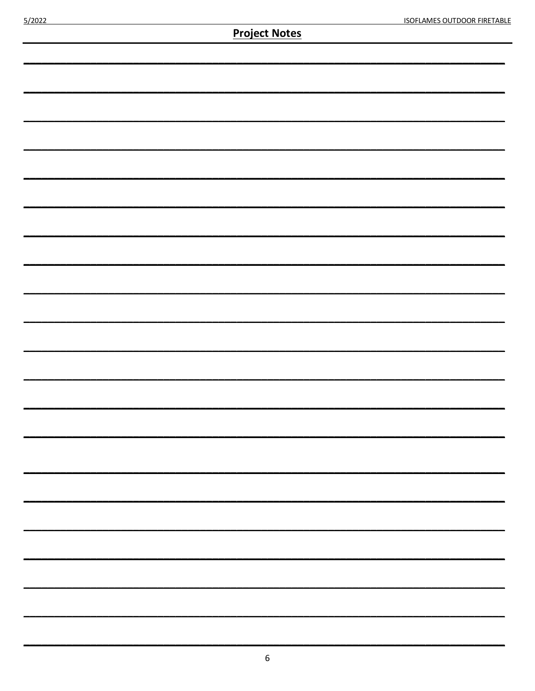| <b>Project Notes</b> |  |  |  |  |
|----------------------|--|--|--|--|
|                      |  |  |  |  |
|                      |  |  |  |  |
|                      |  |  |  |  |
|                      |  |  |  |  |
|                      |  |  |  |  |
|                      |  |  |  |  |
|                      |  |  |  |  |
|                      |  |  |  |  |
|                      |  |  |  |  |
|                      |  |  |  |  |
|                      |  |  |  |  |
|                      |  |  |  |  |
|                      |  |  |  |  |
|                      |  |  |  |  |
|                      |  |  |  |  |
|                      |  |  |  |  |
|                      |  |  |  |  |
|                      |  |  |  |  |
|                      |  |  |  |  |
|                      |  |  |  |  |
|                      |  |  |  |  |
|                      |  |  |  |  |
|                      |  |  |  |  |
|                      |  |  |  |  |
|                      |  |  |  |  |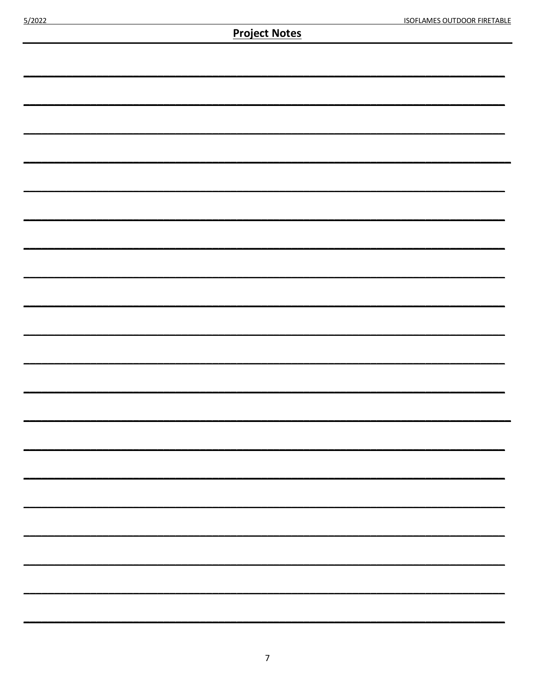**Project Notes**